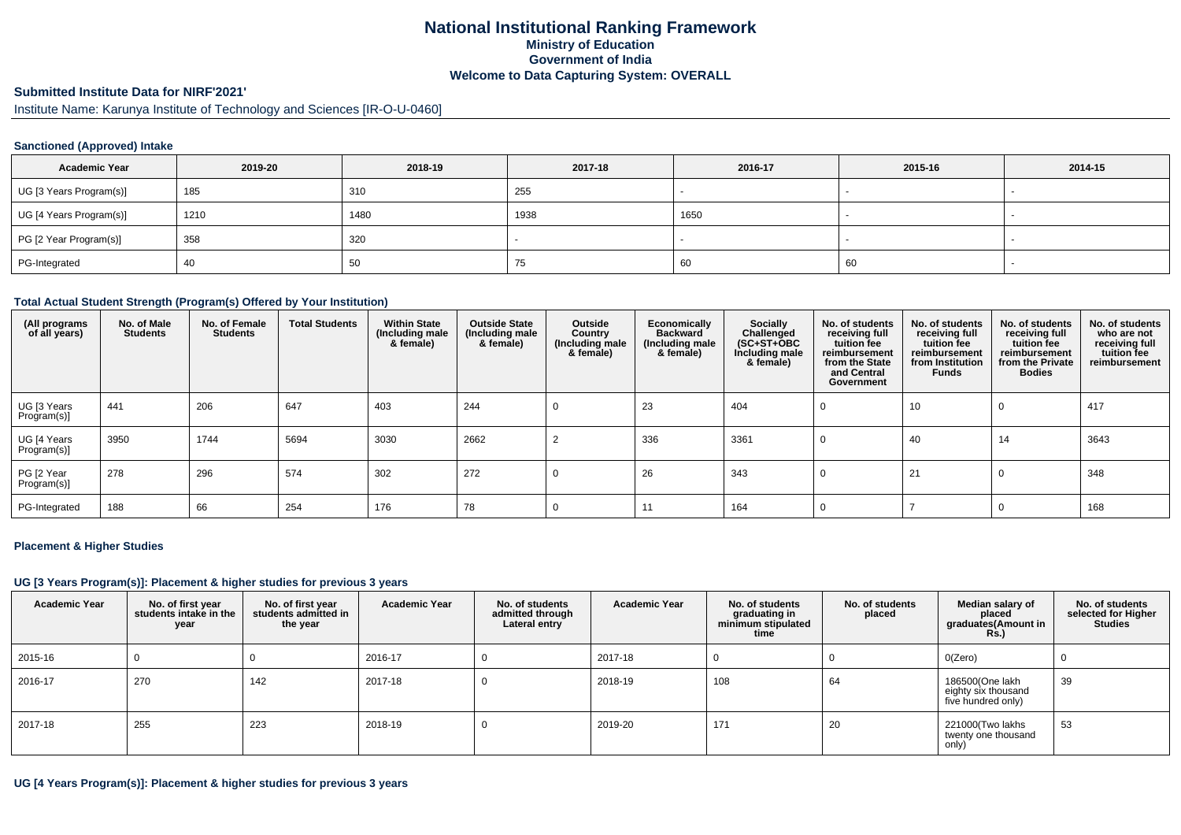## **National Institutional Ranking FrameworkMinistry of Education Government of IndiaWelcome to Data Capturing System: OVERALL**

#### **Submitted Institute Data for NIRF'2021'**

Institute Name: Karunya Institute of Technology and Sciences [IR-O-U-0460]

### **Sanctioned (Approved) Intake**

| <b>Academic Year</b>    | 2019-20 | 2018-19 | 2017-18 | 2016-17 | 2015-16 | 2014-15                  |
|-------------------------|---------|---------|---------|---------|---------|--------------------------|
| UG [3 Years Program(s)] | 185     | 310     | 255     |         |         |                          |
| UG [4 Years Program(s)] | 1210    | 1480    | 1938    | 1650    |         | $\overline{\phantom{a}}$ |
| PG [2 Year Program(s)]  | 358     | 320     |         |         |         |                          |
| PG-Integrated           | -40     | -50     | 75      | -60     | 60      |                          |

#### **Total Actual Student Strength (Program(s) Offered by Your Institution)**

| (All programs<br>of all years) | No. of Male<br><b>Students</b> | No. of Female<br><b>Students</b> | <b>Total Students</b> | <b>Within State</b><br>(Including male<br>& female) | <b>Outside State</b><br>(Including male<br>& female) | Outside<br>Country<br>(Including male<br>& female) | Economically<br><b>Backward</b><br>(Including male<br>& female) | Socially<br>Challenged<br>$(SC+ST+OBC)$<br>Including male<br>& female) | No. of students<br>receiving full<br>tuition fee<br>reimbursement<br>from the State<br>and Central<br>Government | No. of students<br>receiving full<br>tuition fee<br>reimbursement<br>from Institution<br><b>Funds</b> | No. of students<br>receiving full<br>tuition fee<br>reimbursement<br>from the Private<br><b>Bodies</b> | No. of students<br>who are not<br>receiving full<br>tuition fee<br>reimbursement |
|--------------------------------|--------------------------------|----------------------------------|-----------------------|-----------------------------------------------------|------------------------------------------------------|----------------------------------------------------|-----------------------------------------------------------------|------------------------------------------------------------------------|------------------------------------------------------------------------------------------------------------------|-------------------------------------------------------------------------------------------------------|--------------------------------------------------------------------------------------------------------|----------------------------------------------------------------------------------|
| UG [3 Years<br>Program(s)]     | 441                            | 206                              | 647                   | 403                                                 | 244                                                  |                                                    | 23                                                              | 404                                                                    | U                                                                                                                | 10                                                                                                    | 0                                                                                                      | 417                                                                              |
| UG [4 Years<br>Program(s)]     | 3950                           | 1744                             | 5694                  | 3030                                                | 2662                                                 |                                                    | 336                                                             | 3361                                                                   | <b>U</b>                                                                                                         | 40                                                                                                    | 14                                                                                                     | 3643                                                                             |
| PG [2 Year<br>Program(s)]      | 278                            | 296                              | 574                   | 302                                                 | 272                                                  |                                                    | 26                                                              | 343                                                                    |                                                                                                                  | 21                                                                                                    | 0                                                                                                      | 348                                                                              |
| PG-Integrated                  | 188                            | 66                               | 254                   | 176                                                 | 78                                                   |                                                    | 11                                                              | 164                                                                    |                                                                                                                  |                                                                                                       |                                                                                                        | 168                                                                              |

#### **Placement & Higher Studies**

## **UG [3 Years Program(s)]: Placement & higher studies for previous 3 years**

| <b>Academic Year</b> | No. of first year<br>students intake in the<br>year | No. of first year<br>students admitted in<br>the year | <b>Academic Year</b> | No. of students<br>admitted through<br>Lateral entry | <b>Academic Year</b> | No. of students<br>graduating in<br>minimum stipulated<br>time | No. of students<br>placed | Median salary of<br>placed<br>graduates(Amount in<br><b>Rs.)</b> | No. of students<br>selected for Higher<br><b>Studies</b> |
|----------------------|-----------------------------------------------------|-------------------------------------------------------|----------------------|------------------------------------------------------|----------------------|----------------------------------------------------------------|---------------------------|------------------------------------------------------------------|----------------------------------------------------------|
| 2015-16              |                                                     |                                                       | 2016-17              |                                                      | 2017-18              |                                                                |                           | O(Zero)                                                          | 0                                                        |
| 2016-17              | 270                                                 | 142                                                   | 2017-18              |                                                      | 2018-19              | 108                                                            | 64                        | 186500(One lakh<br>eighty six thousand<br>five hundred only)     | 39                                                       |
| 2017-18              | 255                                                 | 223                                                   | 2018-19              | υ                                                    | 2019-20              | 171                                                            | 20                        | 221000(Two lakhs<br>twenty one thousand<br>only)                 | 53                                                       |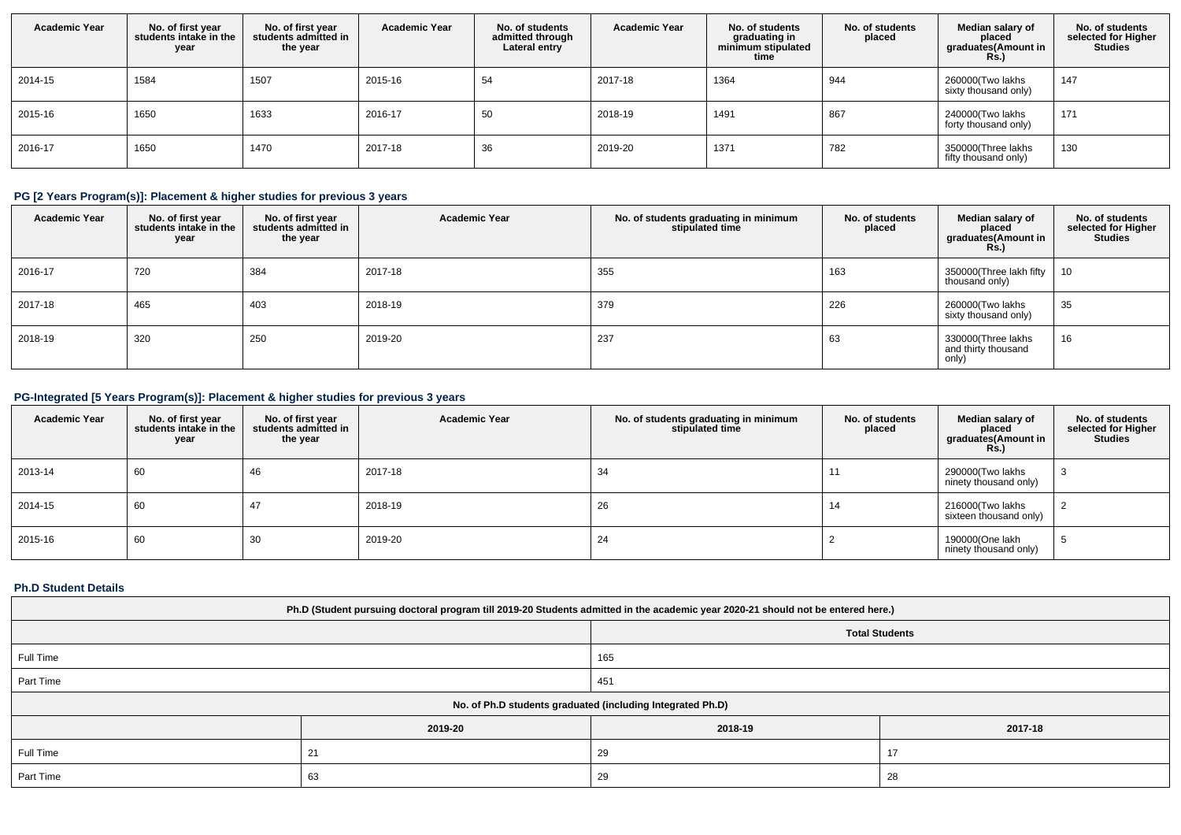| <b>Academic Year</b> | No. of first year<br>students intake in the<br>year | No. of first year<br>students admitted in<br>the year | <b>Academic Year</b> | No. of students<br>admitted through<br>Lateral entry | <b>Academic Year</b> | No. of students<br>graduating in<br>minimum stipulated<br>time | No. of students<br>placed | Median salary of<br>placed<br>graduates(Amount in<br><b>Rs.)</b> | No. of students<br>selected for Higher<br><b>Studies</b> |
|----------------------|-----------------------------------------------------|-------------------------------------------------------|----------------------|------------------------------------------------------|----------------------|----------------------------------------------------------------|---------------------------|------------------------------------------------------------------|----------------------------------------------------------|
| 2014-15              | 1584                                                | 1507                                                  | 2015-16              | 54                                                   | 2017-18              | 1364                                                           | 944                       | 260000(Two lakhs<br>sixty thousand only)                         | 147                                                      |
| 2015-16              | 1650                                                | 1633                                                  | 2016-17              | 50                                                   | 2018-19              | 1491                                                           | 867                       | 240000(Two lakhs<br>forty thousand only)                         | 171                                                      |
| 2016-17              | 1650                                                | 1470                                                  | 2017-18              | 36                                                   | 2019-20              | 1371                                                           | 782                       | 350000(Three lakhs<br>fifty thousand only)                       | 130                                                      |

# **PG [2 Years Program(s)]: Placement & higher studies for previous 3 years**

| <b>Academic Year</b> | No. of first year<br>students intake in the<br>year | No. of first vear<br>students admitted in<br>the year | <b>Academic Year</b> | No. of students graduating in minimum<br>stipulated time | No. of students<br>placed | Median salary of<br>placed<br>graduates(Amount in<br>R <sub>S</sub> | No. of students<br>selected for Higher<br><b>Studies</b> |
|----------------------|-----------------------------------------------------|-------------------------------------------------------|----------------------|----------------------------------------------------------|---------------------------|---------------------------------------------------------------------|----------------------------------------------------------|
| 2016-17              | 720                                                 | 384                                                   | 2017-18              | 355                                                      | 163                       | 350000(Three lakh fifty  <br>thousand only)                         | 10                                                       |
| 2017-18              | 465                                                 | 403                                                   | 2018-19              | 379                                                      | 226                       | 260000(Two lakhs<br>sixty thousand only)                            | 35                                                       |
| 2018-19              | 320                                                 | 250                                                   | 2019-20              | 237                                                      | 63                        | 330000(Three lakhs<br>and thirty thousand<br>only)                  | 16                                                       |

## **PG-Integrated [5 Years Program(s)]: Placement & higher studies for previous 3 years**

| <b>Academic Year</b> | No. of first year<br>students intake in the<br>year | No. of first year<br>students admitted in<br>the year | <b>Academic Year</b> | No. of students graduating in minimum<br>stipulated time | No. of students<br>placed | Median salary of<br>placed<br>graduates(Amount in<br>Rs.) | No. of students<br>selected for Higher<br><b>Studies</b> |
|----------------------|-----------------------------------------------------|-------------------------------------------------------|----------------------|----------------------------------------------------------|---------------------------|-----------------------------------------------------------|----------------------------------------------------------|
| 2013-14              | 60                                                  | 46                                                    | 2017-18              | 34                                                       | 11                        | 290000(Two lakhs<br>ninety thousand only)                 | 3                                                        |
| 2014-15              | 60                                                  | 47                                                    | 2018-19              | 26                                                       | 14                        | 216000(Two lakhs<br>sixteen thousand only)                |                                                          |
| 2015-16              | 60                                                  | 30                                                    | 2019-20              | 24                                                       |                           | 190000(One lakh<br>ninety thousand only)                  | Ð.                                                       |

## **Ph.D Student Details**

| Ph.D (Student pursuing doctoral program till 2019-20 Students admitted in the academic year 2020-21 should not be entered here.) |                |         |         |  |  |  |
|----------------------------------------------------------------------------------------------------------------------------------|----------------|---------|---------|--|--|--|
| <b>Total Students</b>                                                                                                            |                |         |         |  |  |  |
| Full Time                                                                                                                        |                | 165     |         |  |  |  |
| Part Time                                                                                                                        |                | 451     |         |  |  |  |
| No. of Ph.D students graduated (including Integrated Ph.D)                                                                       |                |         |         |  |  |  |
|                                                                                                                                  | 2019-20        | 2018-19 | 2017-18 |  |  |  |
| Full Time                                                                                                                        | 21             | 29      | 17      |  |  |  |
| Part Time                                                                                                                        | 29<br>28<br>63 |         |         |  |  |  |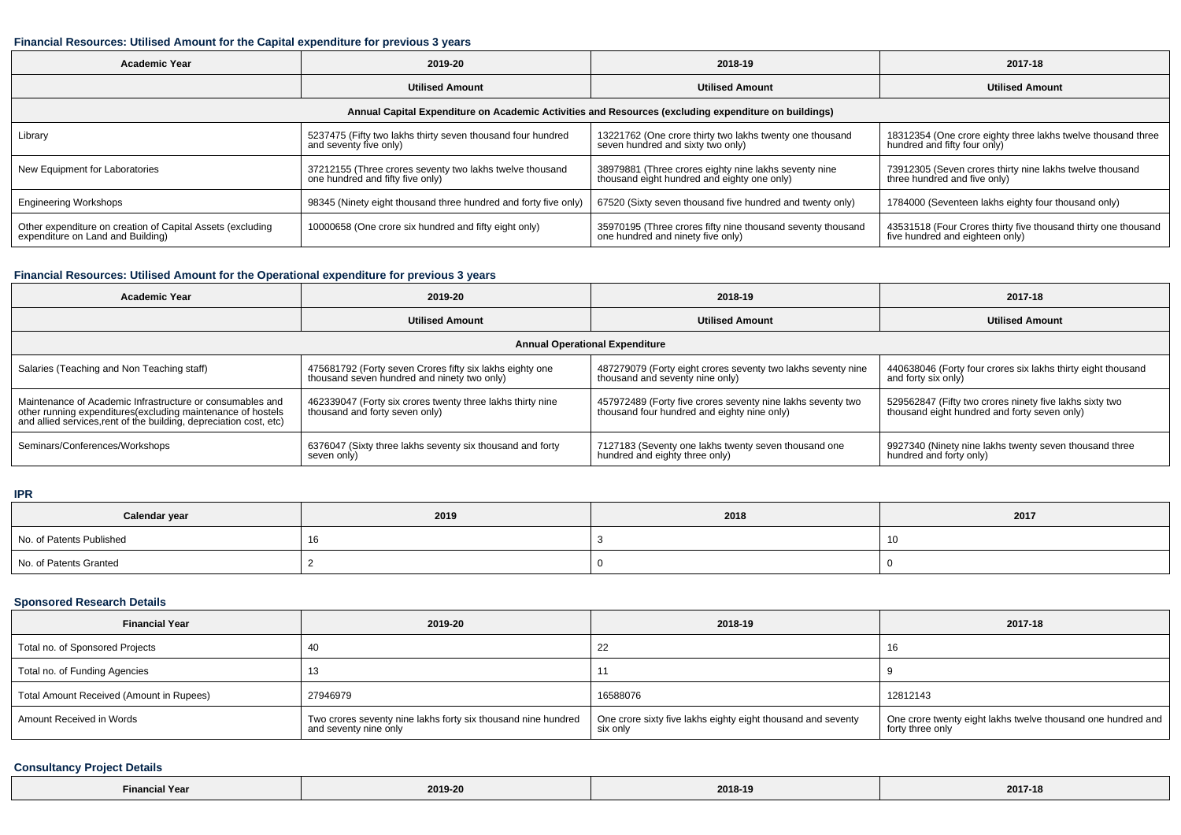### **Financial Resources: Utilised Amount for the Capital expenditure for previous 3 years**

| <b>Academic Year</b>                                                                                 | 2019-20                                                                                      | 2018-19                                                                                              | 2017-18                                                                                           |  |  |  |  |  |
|------------------------------------------------------------------------------------------------------|----------------------------------------------------------------------------------------------|------------------------------------------------------------------------------------------------------|---------------------------------------------------------------------------------------------------|--|--|--|--|--|
|                                                                                                      | <b>Utilised Amount</b>                                                                       | <b>Utilised Amount</b>                                                                               | <b>Utilised Amount</b>                                                                            |  |  |  |  |  |
| Annual Capital Expenditure on Academic Activities and Resources (excluding expenditure on buildings) |                                                                                              |                                                                                                      |                                                                                                   |  |  |  |  |  |
| Library                                                                                              | 5237475 (Fifty two lakhs thirty seven thousand four hundred<br>and seventy five only)        | 13221762 (One crore thirty two lakhs twenty one thousand<br>seven hundred and sixty two only)        | 18312354 (One crore eighty three lakhs twelve thousand three<br>hundred and fifty four only)      |  |  |  |  |  |
| New Equipment for Laboratories                                                                       | 37212155 (Three crores seventy two lakhs twelve thousand<br>one hundred and fifty five only) | 38979881 (Three crores eighty nine lakhs seventy nine<br>thousand eight hundred and eighty one only) | 73912305 (Seven crores thirty nine lakhs twelve thousand<br>three hundred and five only)          |  |  |  |  |  |
| <b>Engineering Workshops</b>                                                                         | 98345 (Ninety eight thousand three hundred and forty five only)                              | 67520 (Sixty seven thousand five hundred and twenty only)                                            | 1784000 (Seventeen lakhs eighty four thousand only)                                               |  |  |  |  |  |
| Other expenditure on creation of Capital Assets (excluding<br>expenditure on Land and Building)      | 10000658 (One crore six hundred and fifty eight only)                                        | 35970195 (Three crores fifty nine thousand seventy thousand<br>one hundred and ninety five only)     | 43531518 (Four Crores thirty five thousand thirty one thousand<br>five hundred and eighteen only) |  |  |  |  |  |

### **Financial Resources: Utilised Amount for the Operational expenditure for previous 3 years**

| <b>Academic Year</b>                                                                                                                                                                            | 2019-20                                                                                                 | 2018-19                                                                                                    | 2017-18                                                                                                 |  |  |  |  |
|-------------------------------------------------------------------------------------------------------------------------------------------------------------------------------------------------|---------------------------------------------------------------------------------------------------------|------------------------------------------------------------------------------------------------------------|---------------------------------------------------------------------------------------------------------|--|--|--|--|
|                                                                                                                                                                                                 | <b>Utilised Amount</b>                                                                                  | <b>Utilised Amount</b>                                                                                     | <b>Utilised Amount</b>                                                                                  |  |  |  |  |
| <b>Annual Operational Expenditure</b>                                                                                                                                                           |                                                                                                         |                                                                                                            |                                                                                                         |  |  |  |  |
| Salaries (Teaching and Non Teaching staff)                                                                                                                                                      | 475681792 (Forty seven Crores fifty six lakhs eighty one<br>thousand seven hundred and ninety two only) | 487279079 (Forty eight crores seventy two lakhs seventy nine<br>thousand and seventy nine only)            | 440638046 (Forty four crores six lakhs thirty eight thousand<br>and forty six only)                     |  |  |  |  |
| Maintenance of Academic Infrastructure or consumables and<br>other running expenditures (excluding maintenance of hostels<br>and allied services, rent of the building, depreciation cost, etc) | 462339047 (Forty six crores twenty three lakhs thirty nine<br>thousand and forty seven only)            | 457972489 (Forty five crores seventy nine lakhs seventy two<br>thousand four hundred and eighty nine only) | 529562847 (Fifty two crores ninety five lakhs sixty two<br>thousand eight hundred and forty seven only) |  |  |  |  |
| Seminars/Conferences/Workshops                                                                                                                                                                  | 6376047 (Sixty three lakhs seventy six thousand and forty<br>seven only)                                | 7127183 (Seventy one lakhs twenty seven thousand one<br>hundred and eighty three only)                     | 9927340 (Ninety nine lakhs twenty seven thousand three<br>hundred and forty only)                       |  |  |  |  |

### **IPR**

| Calendar year            | 2019 | 2018 | 2017 |
|--------------------------|------|------|------|
| No. of Patents Published |      |      |      |
| No. of Patents Granted   |      |      |      |

### **Sponsored Research Details**

| <b>Financial Year</b>                    | 2019-20                                                                                | 2018-19                                                                  | 2017-18                                                                          |
|------------------------------------------|----------------------------------------------------------------------------------------|--------------------------------------------------------------------------|----------------------------------------------------------------------------------|
| Total no. of Sponsored Projects          |                                                                                        | 22                                                                       | Ίb                                                                               |
| Total no. of Funding Agencies            |                                                                                        |                                                                          |                                                                                  |
| Total Amount Received (Amount in Rupees) | 27946979                                                                               | 16588076                                                                 | 12812143                                                                         |
| Amount Received in Words                 | Two crores seventy nine lakhs forty six thousand nine hundred<br>and seventy nine only | One crore sixty five lakhs eighty eight thousand and seventy<br>six only | One crore twenty eight lakhs twelve thousand one hundred and<br>forty three only |

## **Consultancy Project Details**

| <b>Financial Year</b> | 2019-20 | 2018-19 | 2017-18 |
|-----------------------|---------|---------|---------|
|-----------------------|---------|---------|---------|